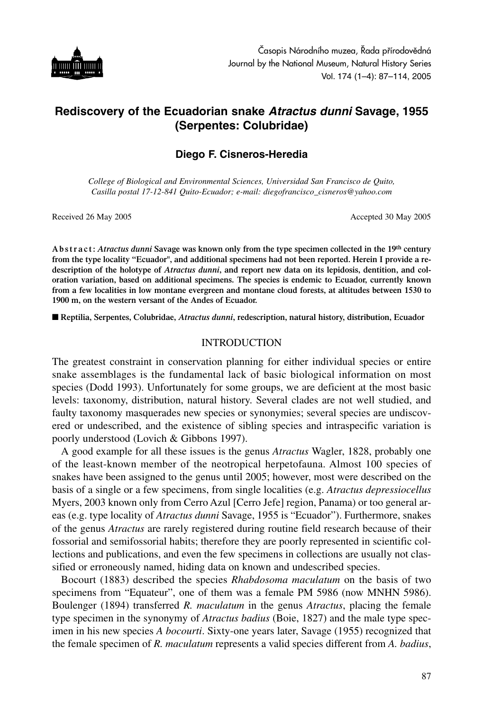

# **Rediscovery of the Ecuadorian snake** *Atractus dunni* **Savage, 1955 (Serpentes: Colubridae)**

## **Diego F. Cisneros-Heredia**

*College of Biological and Environmental Sciences, Universidad San Francisco de Quito, Casilla postal 17-12-841 Quito-Ecuador; e-mail: diegofrancisco\_cisneros@yahoo.com*

Received 26 May 2005 **Accepted 30 May 2005** Accepted 30 May 2005

**A b s t r a c t :** *Atractus dunni* **Savage was known only from the type specimen collected in the 19th century from the type locality "Ecuador", and additional specimens had not been reported. Herein I provide a redescription of the holotype of** *Atractus dunni***, and report new data on its lepidosis, dentition, and coloration variation, based on additional specimens. The species is endemic to Ecuador, currently known from a few localities in low montane evergreen and montane cloud forests, at altitudes between 1530 to 1900 m, on the western versant of the Andes of Ecuador.**

■ **Reptilia, Serpentes, Colubridae,** *Atractus dunni***, redescription, natural history, distribution, Ecuador** 

#### INTRODUCTION

The greatest constraint in conservation planning for either individual species or entire snake assemblages is the fundamental lack of basic biological information on most species (Dodd 1993). Unfortunately for some groups, we are deficient at the most basic levels: taxonomy, distribution, natural history. Several clades are not well studied, and faulty taxonomy masquerades new species or synonymies; several species are undiscovered or undescribed, and the existence of sibling species and intraspecific variation is poorly understood (Lovich & Gibbons 1997).

A good example for all these issues is the genus *Atractus* Wagler, 1828, probably one of the least-known member of the neotropical herpetofauna. Almost 100 species of snakes have been assigned to the genus until 2005; however, most were described on the basis of a single or a few specimens, from single localities (e.g. *Atractus depressiocellus* Myers, 2003 known only from Cerro Azul [Cerro Jefe] region, Panama) or too general areas (e.g. type locality of *Atractus dunni* Savage, 1955 is "Ecuador"). Furthermore, snakes of the genus *Atractus* are rarely registered during routine field research because of their fossorial and semifossorial habits; therefore they are poorly represented in scientific collections and publications, and even the few specimens in collections are usually not classified or erroneously named, hiding data on known and undescribed species.

Bocourt (1883) described the species *Rhabdosoma maculatum* on the basis of two specimens from "Equateur", one of them was a female PM 5986 (now MNHN 5986). Boulenger (1894) transferred *R. maculatum* in the genus *Atractus*, placing the female type specimen in the synonymy of *Atractus badius* (Boie, 1827) and the male type specimen in his new species *A bocourti*. Sixty-one years later, Savage (1955) recognized that the female specimen of *R. maculatum* represents a valid species different from *A. badius*,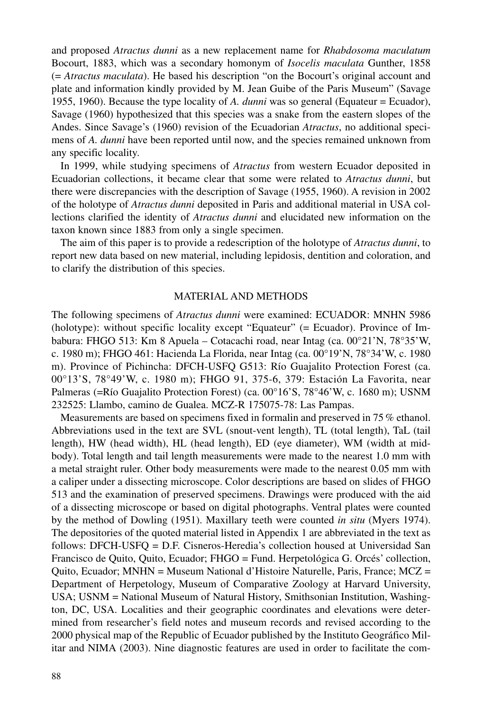and proposed *Atractus dunni* as a new replacement name for *Rhabdosoma maculatum* Bocourt, 1883, which was a secondary homonym of *Isocelis maculata* Gunther, 1858 (= *Atractus maculata*). He based his description "on the Bocourt's original account and plate and information kindly provided by M. Jean Guibe of the Paris Museum" (Savage 1955, 1960). Because the type locality of *A. dunni* was so general (Equateur = Ecuador), Savage (1960) hypothesized that this species was a snake from the eastern slopes of the Andes. Since Savage's (1960) revision of the Ecuadorian *Atractus*, no additional specimens of *A. dunni* have been reported until now, and the species remained unknown from any specific locality.

In 1999, while studying specimens of *Atractus* from western Ecuador deposited in Ecuadorian collections, it became clear that some were related to *Atractus dunni*, but there were discrepancies with the description of Savage (1955, 1960). A revision in 2002 of the holotype of *Atractus dunni* deposited in Paris and additional material in USA collections clarified the identity of *Atractus dunni* and elucidated new information on the taxon known since 1883 from only a single specimen.

The aim of this paper is to provide a redescription of the holotype of *Atractus dunni*, to report new data based on new material, including lepidosis, dentition and coloration, and to clarify the distribution of this species.

#### MATERIAL AND METHODS

The following specimens of *Atractus dunni* were examined: ECUADOR: MNHN 5986 (holotype): without specific locality except "Equateur" (= Ecuador). Province of Imbabura: FHGO 513: Km 8 Apuela – Cotacachi road, near Intag (ca. 00°21'N, 78°35'W, c. 1980 m); FHGO 461: Hacienda La Florida, near Intag (ca. 00°19'N, 78°34'W, c. 1980 m). Province of Pichincha: DFCH-USFQ G513: Río Guajalito Protection Forest (ca. 00°13'S, 78°49'W, c. 1980 m); FHGO 91, 375-6, 379: Estación La Favorita, near Palmeras (=Río Guajalito Protection Forest) (ca. 00°16'S, 78°46'W, c. 1680 m); USNM 232525: Llambo, camino de Gualea. MCZ-R 175075-78: Las Pampas.

Measurements are based on specimens fixed in formalin and preserved in 75 % ethanol. Abbreviations used in the text are SVL (snout-vent length), TL (total length), TaL (tail length), HW (head width), HL (head length), ED (eye diameter), WM (width at midbody). Total length and tail length measurements were made to the nearest 1.0 mm with a metal straight ruler. Other body measurements were made to the nearest 0.05 mm with a caliper under a dissecting microscope. Color descriptions are based on slides of FHGO 513 and the examination of preserved specimens. Drawings were produced with the aid of a dissecting microscope or based on digital photographs. Ventral plates were counted by the method of Dowling (1951). Maxillary teeth were counted *in situ* (Myers 1974). The depositories of the quoted material listed in Appendix 1 are abbreviated in the text as follows: DFCH-USFQ = D.F. Cisneros-Heredia's collection housed at Universidad San Francisco de Quito, Quito, Ecuador; FHGO = Fund. Herpetológica G. Orcés' collection, Quito, Ecuador; MNHN = Museum National d'Histoire Naturelle, Paris, France; MCZ = Department of Herpetology, Museum of Comparative Zoology at Harvard University, USA; USNM = National Museum of Natural History, Smithsonian Institution, Washington, DC, USA. Localities and their geographic coordinates and elevations were determined from researcher's field notes and museum records and revised according to the 2000 physical map of the Republic of Ecuador published by the Instituto Geográfico Militar and NIMA (2003). Nine diagnostic features are used in order to facilitate the com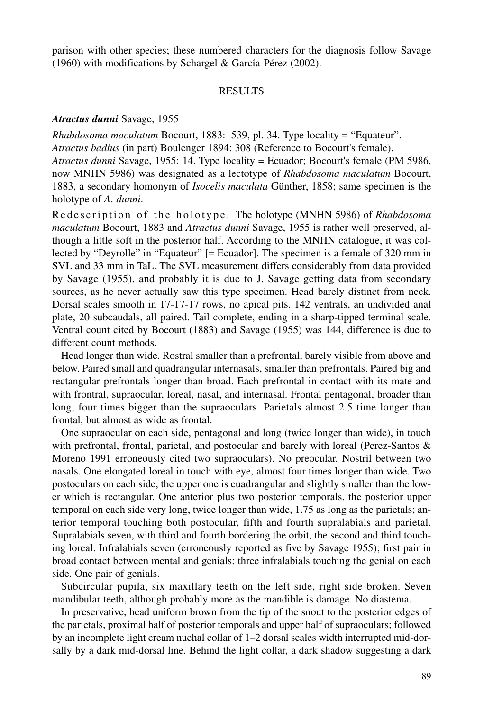parison with other species; these numbered characters for the diagnosis follow Savage (1960) with modifications by Schargel & García-Pérez (2002).

#### RESULTS

### *Atractus dunni* Savage, 1955

*Rhabdosoma maculatum* Bocourt, 1883: 539, pl. 34. Type locality = "Equateur". *Atractus badius* (in part) Boulenger 1894: 308 (Reference to Bocourt's female). *Atractus dunni* Savage, 1955: 14. Type locality = Ecuador; Bocourt's female (PM 5986, now MNHN 5986) was designated as a lectotype of *Rhabdosoma maculatum* Bocourt, 1883, a secondary homonym of *Isocelis maculata* Günther, 1858; same specimen is the holotype of *A*. *dunni*.

Redescription of the holotype. The holotype (MNHN 5986) of *Rhabdosoma maculatum* Bocourt, 1883 and *Atractus dunni* Savage, 1955 is rather well preserved, although a little soft in the posterior half. According to the MNHN catalogue, it was collected by "Deyrolle" in "Equateur" [= Ecuador]. The specimen is a female of 320 mm in SVL and 33 mm in TaL. The SVL measurement differs considerably from data provided by Savage (1955), and probably it is due to J. Savage getting data from secondary sources, as he never actually saw this type specimen. Head barely distinct from neck. Dorsal scales smooth in 17-17-17 rows, no apical pits. 142 ventrals, an undivided anal plate, 20 subcaudals, all paired. Tail complete, ending in a sharp-tipped terminal scale. Ventral count cited by Bocourt (1883) and Savage (1955) was 144, difference is due to different count methods.

Head longer than wide. Rostral smaller than a prefrontal, barely visible from above and below. Paired small and quadrangular internasals, smaller than prefrontals. Paired big and rectangular prefrontals longer than broad. Each prefrontal in contact with its mate and with frontral, supraocular, loreal, nasal, and internasal. Frontal pentagonal, broader than long, four times bigger than the supraoculars. Parietals almost 2.5 time longer than frontal, but almost as wide as frontal.

One supraocular on each side, pentagonal and long (twice longer than wide), in touch with prefrontal, frontal, parietal, and postocular and barely with loreal (Perez-Santos & Moreno 1991 erroneously cited two supraoculars). No preocular. Nostril between two nasals. One elongated loreal in touch with eye, almost four times longer than wide. Two postoculars on each side, the upper one is cuadrangular and slightly smaller than the lower which is rectangular. One anterior plus two posterior temporals, the posterior upper temporal on each side very long, twice longer than wide, 1.75 as long as the parietals; anterior temporal touching both postocular, fifth and fourth supralabials and parietal. Supralabials seven, with third and fourth bordering the orbit, the second and third touching loreal. Infralabials seven (erroneously reported as five by Savage 1955); first pair in broad contact between mental and genials; three infralabials touching the genial on each side. One pair of genials.

Subcircular pupila, six maxillary teeth on the left side, right side broken. Seven mandibular teeth, although probably more as the mandible is damage. No diastema.

In preservative, head uniform brown from the tip of the snout to the posterior edges of the parietals, proximal half of posterior temporals and upper half of supraoculars; followed by an incomplete light cream nuchal collar of 1–2 dorsal scales width interrupted mid-dorsally by a dark mid-dorsal line. Behind the light collar, a dark shadow suggesting a dark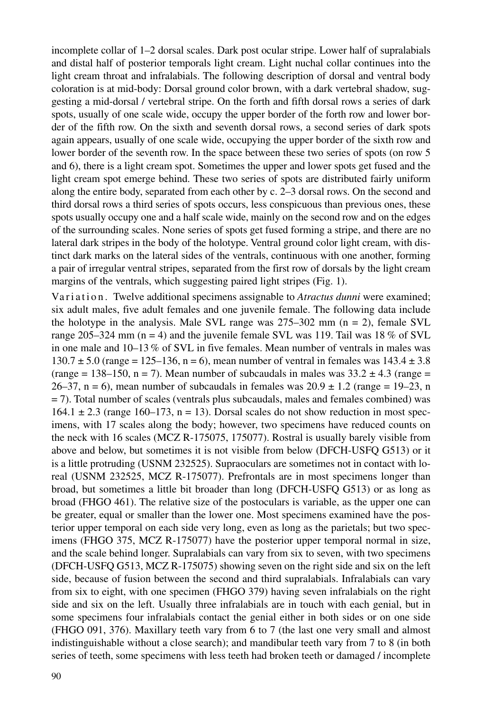incomplete collar of 1–2 dorsal scales. Dark post ocular stripe. Lower half of supralabials and distal half of posterior temporals light cream. Light nuchal collar continues into the light cream throat and infralabials. The following description of dorsal and ventral body coloration is at mid-body: Dorsal ground color brown, with a dark vertebral shadow, suggesting a mid-dorsal / vertebral stripe. On the forth and fifth dorsal rows a series of dark spots, usually of one scale wide, occupy the upper border of the forth row and lower border of the fifth row. On the sixth and seventh dorsal rows, a second series of dark spots again appears, usually of one scale wide, occupying the upper border of the sixth row and lower border of the seventh row. In the space between these two series of spots (on row 5 and 6), there is a light cream spot. Sometimes the upper and lower spots get fused and the light cream spot emerge behind. These two series of spots are distributed fairly uniform along the entire body, separated from each other by c. 2–3 dorsal rows. On the second and third dorsal rows a third series of spots occurs, less conspicuous than previous ones, these spots usually occupy one and a half scale wide, mainly on the second row and on the edges of the surrounding scales. None series of spots get fused forming a stripe, and there are no lateral dark stripes in the body of the holotype. Ventral ground color light cream, with distinct dark marks on the lateral sides of the ventrals, continuous with one another, forming a pair of irregular ventral stripes, separated from the first row of dorsals by the light cream margins of the ventrals, which suggesting paired light stripes (Fig. 1).

Variation. Twelve additional specimens assignable to *Atractus dunni* were examined; six adult males, five adult females and one juvenile female. The following data include the holotype in the analysis. Male SVL range was  $275-302$  mm (n = 2), female SVL range 205–324 mm (n = 4) and the juvenile female SVL was 119. Tail was 18 % of SVL in one male and 10–13 % of SVL in five females. Mean number of ventrals in males was 130.7  $\pm$  5.0 (range = 125–136, n = 6), mean number of ventral in females was 143.4  $\pm$  3.8 (range = 138–150, n = 7). Mean number of subcaudals in males was  $33.2 \pm 4.3$  (range = 26–37, n = 6), mean number of subcaudals in females was  $20.9 \pm 1.2$  (range = 19–23, n = 7). Total number of scales (ventrals plus subcaudals, males and females combined) was 164.1  $\pm$  2.3 (range 160–173, n = 13). Dorsal scales do not show reduction in most specimens, with 17 scales along the body; however, two specimens have reduced counts on the neck with 16 scales (MCZ R-175075, 175077). Rostral is usually barely visible from above and below, but sometimes it is not visible from below (DFCH-USFQ G513) or it is a little protruding (USNM 232525). Supraoculars are sometimes not in contact with loreal (USNM 232525, MCZ R-175077). Prefrontals are in most specimens longer than broad, but sometimes a little bit broader than long (DFCH-USFQ G513) or as long as broad (FHGO 461). The relative size of the postoculars is variable, as the upper one can be greater, equal or smaller than the lower one. Most specimens examined have the posterior upper temporal on each side very long, even as long as the parietals; but two specimens (FHGO 375, MCZ R-175077) have the posterior upper temporal normal in size, and the scale behind longer. Supralabials can vary from six to seven, with two specimens (DFCH-USFQ G513, MCZ R-175075) showing seven on the right side and six on the left side, because of fusion between the second and third supralabials. Infralabials can vary from six to eight, with one specimen (FHGO 379) having seven infralabials on the right side and six on the left. Usually three infralabials are in touch with each genial, but in some specimens four infralabials contact the genial either in both sides or on one side (FHGO 091, 376). Maxillary teeth vary from 6 to 7 (the last one very small and almost indistinguishable without a close search); and mandibular teeth vary from 7 to 8 (in both series of teeth, some specimens with less teeth had broken teeth or damaged / incomplete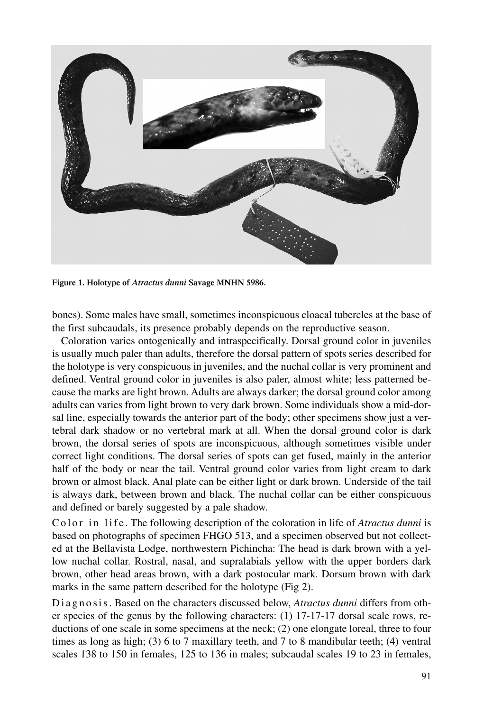

**Figure 1. Holotype of** *Atractus dunni* **Savage MNHN 5986.**

bones). Some males have small, sometimes inconspicuous cloacal tubercles at the base of the first subcaudals, its presence probably depends on the reproductive season.

Coloration varies ontogenically and intraspecifically. Dorsal ground color in juveniles is usually much paler than adults, therefore the dorsal pattern of spots series described for the holotype is very conspicuous in juveniles, and the nuchal collar is very prominent and defined. Ventral ground color in juveniles is also paler, almost white; less patterned because the marks are light brown. Adults are always darker; the dorsal ground color among adults can varies from light brown to very dark brown. Some individuals show a mid-dorsal line, especially towards the anterior part of the body; other specimens show just a vertebral dark shadow or no vertebral mark at all. When the dorsal ground color is dark brown, the dorsal series of spots are inconspicuous, although sometimes visible under correct light conditions. The dorsal series of spots can get fused, mainly in the anterior half of the body or near the tail. Ventral ground color varies from light cream to dark brown or almost black. Anal plate can be either light or dark brown. Underside of the tail is always dark, between brown and black. The nuchal collar can be either conspicuous and defined or barely suggested by a pale shadow.

Color in life. The following description of the coloration in life of *Atractus dunni* is based on photographs of specimen FHGO 513, and a specimen observed but not collected at the Bellavista Lodge, northwestern Pichincha: The head is dark brown with a yellow nuchal collar. Rostral, nasal, and supralabials yellow with the upper borders dark brown, other head areas brown, with a dark postocular mark. Dorsum brown with dark marks in the same pattern described for the holotype (Fig 2).

Diagnosis. Based on the characters discussed below, *Atractus dunni* differs from other species of the genus by the following characters: (1) 17-17-17 dorsal scale rows, reductions of one scale in some specimens at the neck; (2) one elongate loreal, three to four times as long as high; (3) 6 to 7 maxillary teeth, and 7 to 8 mandibular teeth; (4) ventral scales 138 to 150 in females, 125 to 136 in males; subcaudal scales 19 to 23 in females,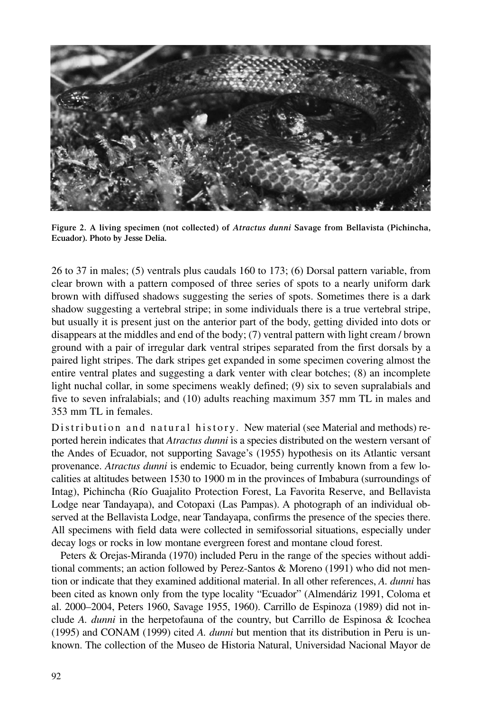

**Figure 2. A living specimen (not collected) of** *Atractus dunni* **Savage from Bellavista (Pichincha, Ecuador). Photo by Jesse Delia.**

26 to 37 in males; (5) ventrals plus caudals 160 to 173; (6) Dorsal pattern variable, from clear brown with a pattern composed of three series of spots to a nearly uniform dark brown with diffused shadows suggesting the series of spots. Sometimes there is a dark shadow suggesting a vertebral stripe; in some individuals there is a true vertebral stripe, but usually it is present just on the anterior part of the body, getting divided into dots or disappears at the middles and end of the body; (7) ventral pattern with light cream / brown ground with a pair of irregular dark ventral stripes separated from the first dorsals by a paired light stripes. The dark stripes get expanded in some specimen covering almost the entire ventral plates and suggesting a dark venter with clear botches; (8) an incomplete light nuchal collar, in some specimens weakly defined; (9) six to seven supralabials and five to seven infralabials; and (10) adults reaching maximum 357 mm TL in males and 353 mm TL in females.

Distribution and natural history. New material (see Material and methods) reported herein indicates that *Atractus dunni* is a species distributed on the western versant of the Andes of Ecuador, not supporting Savage's (1955) hypothesis on its Atlantic versant provenance. *Atractus dunni* is endemic to Ecuador, being currently known from a few localities at altitudes between 1530 to 1900 m in the provinces of Imbabura (surroundings of Intag), Pichincha (Río Guajalito Protection Forest, La Favorita Reserve, and Bellavista Lodge near Tandayapa), and Cotopaxi (Las Pampas). A photograph of an individual observed at the Bellavista Lodge, near Tandayapa, confirms the presence of the species there. All specimens with field data were collected in semifossorial situations, especially under decay logs or rocks in low montane evergreen forest and montane cloud forest.

Peters & Orejas-Miranda (1970) included Peru in the range of the species without additional comments; an action followed by Perez-Santos & Moreno (1991) who did not mention or indicate that they examined additional material. In all other references, *A. dunni* has been cited as known only from the type locality "Ecuador" (Almendáriz 1991, Coloma et al. 2000–2004, Peters 1960, Savage 1955, 1960). Carrillo de Espinoza (1989) did not include *A. dunni* in the herpetofauna of the country, but Carrillo de Espinosa & Icochea (1995) and CONAM (1999) cited *A. dunni* but mention that its distribution in Peru is unknown. The collection of the Museo de Historia Natural, Universidad Nacional Mayor de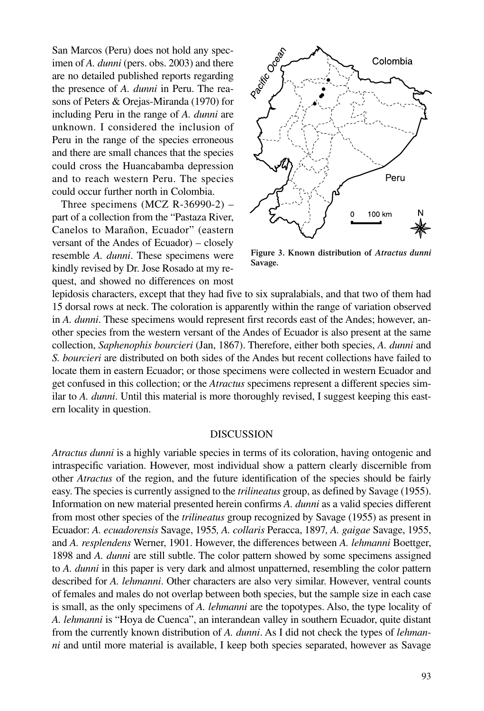San Marcos (Peru) does not hold any specimen of *A. dunni* (pers. obs. 2003) and there are no detailed published reports regarding the presence of *A. dunni* in Peru. The reasons of Peters & Orejas-Miranda (1970) for including Peru in the range of *A. dunni* are unknown. I considered the inclusion of Peru in the range of the species erroneous and there are small chances that the species could cross the Huancabamba depression and to reach western Peru. The species could occur further north in Colombia.

Three specimens  $(MCZ \ R-36990-2)$  – part of a collection from the "Pastaza River, Canelos to Marañon, Ecuador" (eastern versant of the Andes of Ecuador) – closely resemble *A. dunni*. These specimens were kindly revised by Dr. Jose Rosado at my request, and showed no differences on most



**Figure 3. Known distribution of** *Atractus dunni* **Savage.**

lepidosis characters, except that they had five to six supralabials, and that two of them had 15 dorsal rows at neck. The coloration is apparently within the range of variation observed in *A. dunni*. These specimens would represent first records east of the Andes; however, another species from the western versant of the Andes of Ecuador is also present at the same collection, *Saphenophis bourcieri* (Jan, 1867). Therefore, either both species, *A. dunni* and *S. bourcieri* are distributed on both sides of the Andes but recent collections have failed to locate them in eastern Ecuador; or those specimens were collected in western Ecuador and get confused in this collection; or the *Atractus* specimens represent a different species similar to *A. dunni*. Until this material is more thoroughly revised, I suggest keeping this eastern locality in question.

#### DISCUSSION

*Atractus dunni* is a highly variable species in terms of its coloration, having ontogenic and intraspecific variation. However, most individual show a pattern clearly discernible from other *Atractus* of the region, and the future identification of the species should be fairly easy. The species is currently assigned to the *trilineatus* group, as defined by Savage (1955). Information on new material presented herein confirms *A. dunni* as a valid species different from most other species of the *trilineatus* group recognized by Savage (1955) as present in Ecuador: *A. ecuadorensis* Savage, 1955*, A. collaris* Peracca, 1897*, A. gaigae* Savage, 1955, and *A. resplendens* Werner, 1901. However, the differences between *A. lehmanni* Boettger, 1898 and *A. dunni* are still subtle. The color pattern showed by some specimens assigned to *A. dunni* in this paper is very dark and almost unpatterned, resembling the color pattern described for *A. lehmanni*. Other characters are also very similar. However, ventral counts of females and males do not overlap between both species, but the sample size in each case is small, as the only specimens of *A. lehmanni* are the topotypes. Also, the type locality of *A. lehmanni* is "Hoya de Cuenca", an interandean valley in southern Ecuador, quite distant from the currently known distribution of *A. dunni*. As I did not check the types of *lehmanni* and until more material is available, I keep both species separated, however as Savage